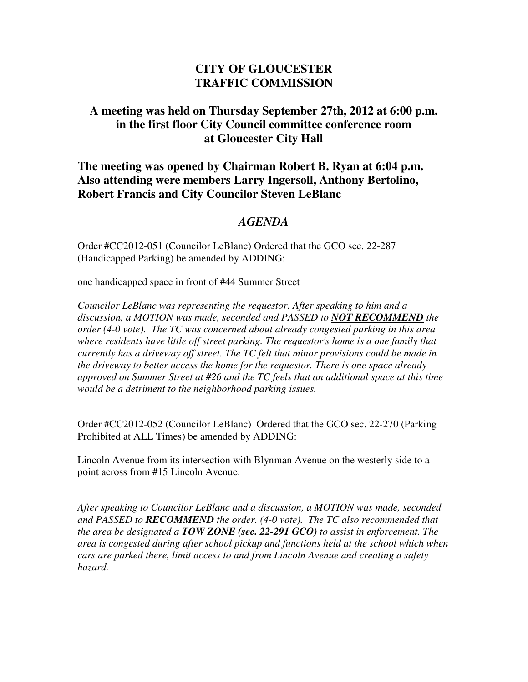## **CITY OF GLOUCESTER TRAFFIC COMMISSION**

## **A meeting was held on Thursday September 27th, 2012 at 6:00 p.m. in the first floor City Council committee conference room at Gloucester City Hall**

## **The meeting was opened by Chairman Robert B. Ryan at 6:04 p.m. Also attending were members Larry Ingersoll, Anthony Bertolino, Robert Francis and City Councilor Steven LeBlanc**

## *AGENDA*

Order #CC2012-051 (Councilor LeBlanc) Ordered that the GCO sec. 22-287 (Handicapped Parking) be amended by ADDING:

one handicapped space in front of #44 Summer Street

*Councilor LeBlanc was representing the requestor. After speaking to him and a discussion, a MOTION was made, seconded and PASSED to NOT RECOMMEND the order (4-0 vote). The TC was concerned about already congested parking in this area where residents have little off street parking. The requestor's home is a one family that currently has a driveway off street. The TC felt that minor provisions could be made in the driveway to better access the home for the requestor. There is one space already approved on Summer Street at #26 and the TC feels that an additional space at this time would be a detriment to the neighborhood parking issues.* 

Order #CC2012-052 (Councilor LeBlanc) Ordered that the GCO sec. 22-270 (Parking Prohibited at ALL Times) be amended by ADDING:

Lincoln Avenue from its intersection with Blynman Avenue on the westerly side to a point across from #15 Lincoln Avenue.

*After speaking to Councilor LeBlanc and a discussion, a MOTION was made, seconded and PASSED to RECOMMEND the order. (4-0 vote). The TC also recommended that the area be designated a TOW ZONE (sec. 22-291 GCO) to assist in enforcement. The area is congested during after school pickup and functions held at the school which when cars are parked there, limit access to and from Lincoln Avenue and creating a safety hazard.*